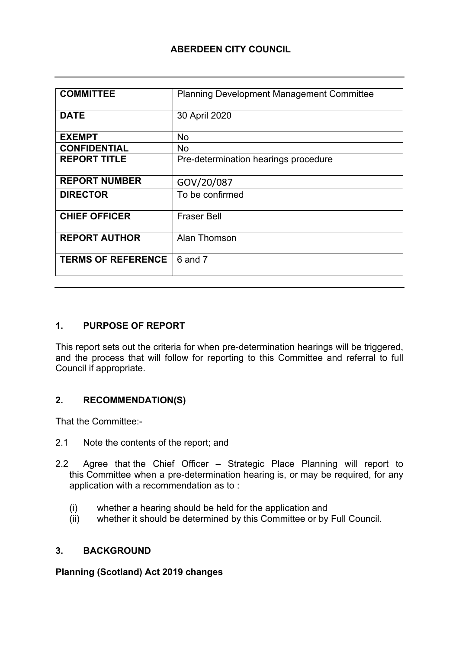#### **ABERDEEN CITY COUNCIL**

| <b>COMMITTEE</b>          | <b>Planning Development Management Committee</b> |
|---------------------------|--------------------------------------------------|
|                           |                                                  |
| <b>DATE</b>               | 30 April 2020                                    |
|                           |                                                  |
| <b>EXEMPT</b>             | <b>No</b>                                        |
| <b>CONFIDENTIAL</b>       | <b>No</b>                                        |
| <b>REPORT TITLE</b>       | Pre-determination hearings procedure             |
|                           |                                                  |
| <b>REPORT NUMBER</b>      | GOV/20/087                                       |
| <b>DIRECTOR</b>           | To be confirmed                                  |
|                           |                                                  |
| <b>CHIEF OFFICER</b>      | <b>Fraser Bell</b>                               |
|                           |                                                  |
| <b>REPORT AUTHOR</b>      | Alan Thomson                                     |
|                           |                                                  |
| <b>TERMS OF REFERENCE</b> | 6 and 7                                          |
|                           |                                                  |
|                           |                                                  |

#### **1. PURPOSE OF REPORT**

This report sets out the criteria for when pre-determination hearings will be triggered, and the process that will follow for reporting to this Committee and referral to full Council if appropriate.

#### **2. RECOMMENDATION(S)**

That the Committee:-

- 2.1 Note the contents of the report; and
- 2.2 Agree that the Chief Officer Strategic Place Planning will report to this Committee when a pre-determination hearing is, or may be required, for any application with a recommendation as to :
	- (i) whether a hearing should be held for the application and
	- (ii) whether it should be determined by this Committee or by Full Council.

#### **3. BACKGROUND**

#### **Planning (Scotland) Act 2019 changes**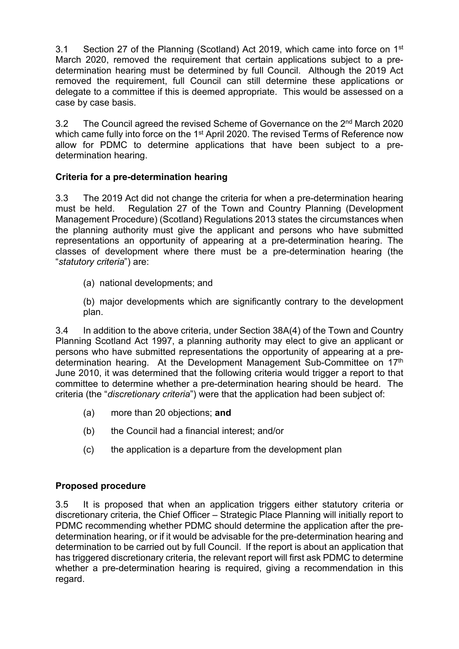3.1 Section 27 of the Planning (Scotland) Act 2019, which came into force on 1<sup>st</sup> March 2020, removed the requirement that certain applications subject to a predetermination hearing must be determined by full Council. Although the 2019 Act removed the requirement, full Council can still determine these applications or delegate to a committee if this is deemed appropriate. This would be assessed on a case by case basis.

3.2 The Council agreed the revised Scheme of Governance on the 2<sup>nd</sup> March 2020 which came fully into force on the 1<sup>st</sup> April 2020. The revised Terms of Reference now allow for PDMC to determine applications that have been subject to a predetermination hearing.

### **Criteria for a pre-determination hearing**

3.3 The 2019 Act did not change the criteria for when a pre-determination hearing must be held. Regulation 27 of the Town and Country Planning (Development Management Procedure) (Scotland) Regulations 2013 states the circumstances when the planning authority must give the applicant and persons who have submitted representations an opportunity of appearing at a pre-determination hearing. The classes of development where there must be a pre-determination hearing (the "*statutory criteria*") are:

(a) national developments; and

(b) major developments which are significantly contrary to the development plan.

3.4 In addition to the above criteria, under Section 38A(4) of the Town and Country Planning Scotland Act 1997, a planning authority may elect to give an applicant or persons who have submitted representations the opportunity of appearing at a predetermination hearing. At the Development Management Sub-Committee on 17th June 2010, it was determined that the following criteria would trigger a report to that committee to determine whether a pre-determination hearing should be heard. The criteria (the "*discretionary criteria*") were that the application had been subject of:

- (a) more than 20 objections; **and**
- (b) the Council had a financial interest; and/or
- (c) the application is a departure from the development plan

## **Proposed procedure**

3.5 It is proposed that when an application triggers either statutory criteria or discretionary criteria, the Chief Officer – Strategic Place Planning will initially report to PDMC recommending whether PDMC should determine the application after the predetermination hearing, or if it would be advisable for the pre-determination hearing and determination to be carried out by full Council. If the report is about an application that has triggered discretionary criteria, the relevant report will first ask PDMC to determine whether a pre-determination hearing is required, giving a recommendation in this regard.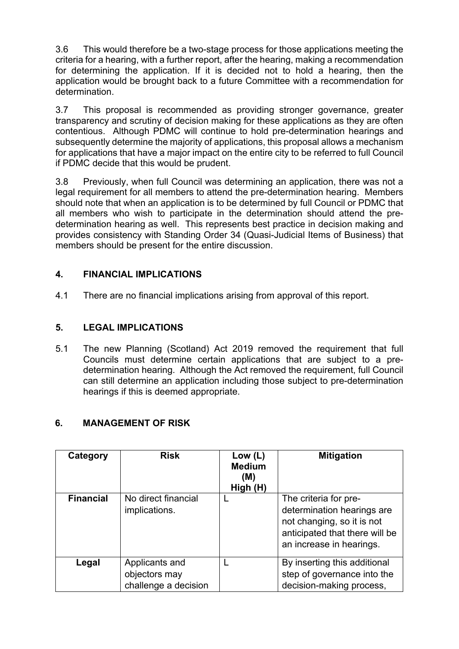3.6 This would therefore be a two-stage process for those applications meeting the criteria for a hearing, with a further report, after the hearing, making a recommendation for determining the application. If it is decided not to hold a hearing, then the application would be brought back to a future Committee with a recommendation for determination.

3.7 This proposal is recommended as providing stronger governance, greater transparency and scrutiny of decision making for these applications as they are often contentious. Although PDMC will continue to hold pre-determination hearings and subsequently determine the majority of applications, this proposal allows a mechanism for applications that have a major impact on the entire city to be referred to full Council if PDMC decide that this would be prudent.

3.8 Previously, when full Council was determining an application, there was not a legal requirement for all members to attend the pre-determination hearing. Members should note that when an application is to be determined by full Council or PDMC that all members who wish to participate in the determination should attend the predetermination hearing as well. This represents best practice in decision making and provides consistency with Standing Order 34 (Quasi-Judicial Items of Business) that members should be present for the entire discussion.

### **4. FINANCIAL IMPLICATIONS**

4.1 There are no financial implications arising from approval of this report.

#### **5. LEGAL IMPLICATIONS**

5.1 The new Planning (Scotland) Act 2019 removed the requirement that full Councils must determine certain applications that are subject to a predetermination hearing. Although the Act removed the requirement, full Council can still determine an application including those subject to pre-determination hearings if this is deemed appropriate.

#### **6. MANAGEMENT OF RISK**

| Category         | <b>Risk</b>                                             | Low $(L)$<br><b>Medium</b><br>(M)<br>High (H) | <b>Mitigation</b>                                                                                                                               |
|------------------|---------------------------------------------------------|-----------------------------------------------|-------------------------------------------------------------------------------------------------------------------------------------------------|
| <b>Financial</b> | No direct financial<br>implications.                    |                                               | The criteria for pre-<br>determination hearings are<br>not changing, so it is not<br>anticipated that there will be<br>an increase in hearings. |
| Legal            | Applicants and<br>objectors may<br>challenge a decision |                                               | By inserting this additional<br>step of governance into the<br>decision-making process,                                                         |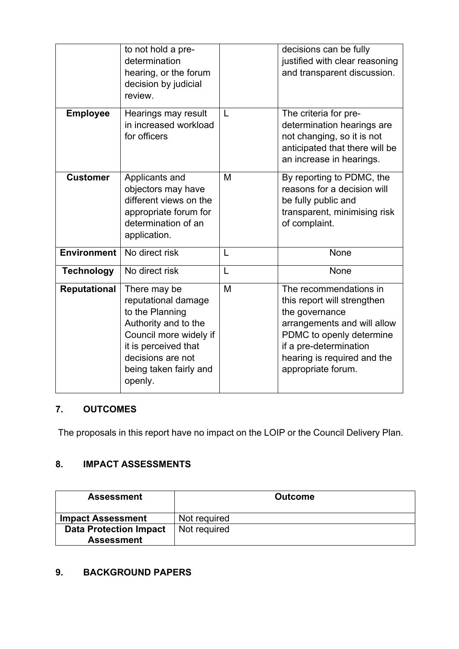|                     | to not hold a pre-<br>determination<br>hearing, or the forum<br>decision by judicial<br>review.                                                                                            |   | decisions can be fully<br>justified with clear reasoning<br>and transparent discussion.                                                                                                                           |
|---------------------|--------------------------------------------------------------------------------------------------------------------------------------------------------------------------------------------|---|-------------------------------------------------------------------------------------------------------------------------------------------------------------------------------------------------------------------|
| <b>Employee</b>     | Hearings may result<br>in increased workload<br>for officers                                                                                                                               | L | The criteria for pre-<br>determination hearings are<br>not changing, so it is not<br>anticipated that there will be<br>an increase in hearings.                                                                   |
| <b>Customer</b>     | Applicants and<br>objectors may have<br>different views on the<br>appropriate forum for<br>determination of an<br>application.                                                             | M | By reporting to PDMC, the<br>reasons for a decision will<br>be fully public and<br>transparent, minimising risk<br>of complaint.                                                                                  |
| <b>Environment</b>  | No direct risk                                                                                                                                                                             | L | None                                                                                                                                                                                                              |
| <b>Technology</b>   | No direct risk                                                                                                                                                                             | L | None                                                                                                                                                                                                              |
| <b>Reputational</b> | There may be<br>reputational damage<br>to the Planning<br>Authority and to the<br>Council more widely if<br>it is perceived that<br>decisions are not<br>being taken fairly and<br>openly. | M | The recommendations in<br>this report will strengthen<br>the governance<br>arrangements and will allow<br>PDMC to openly determine<br>if a pre-determination<br>hearing is required and the<br>appropriate forum. |

### **7. OUTCOMES**

The proposals in this report have no impact on the LOIP or the Council Delivery Plan.

### **8. IMPACT ASSESSMENTS**

| <b>Assessment</b>             | <b>Outcome</b> |
|-------------------------------|----------------|
| <b>Impact Assessment</b>      | Not required   |
| <b>Data Protection Impact</b> | Not required   |
| <b>Assessment</b>             |                |

# **9. BACKGROUND PAPERS**